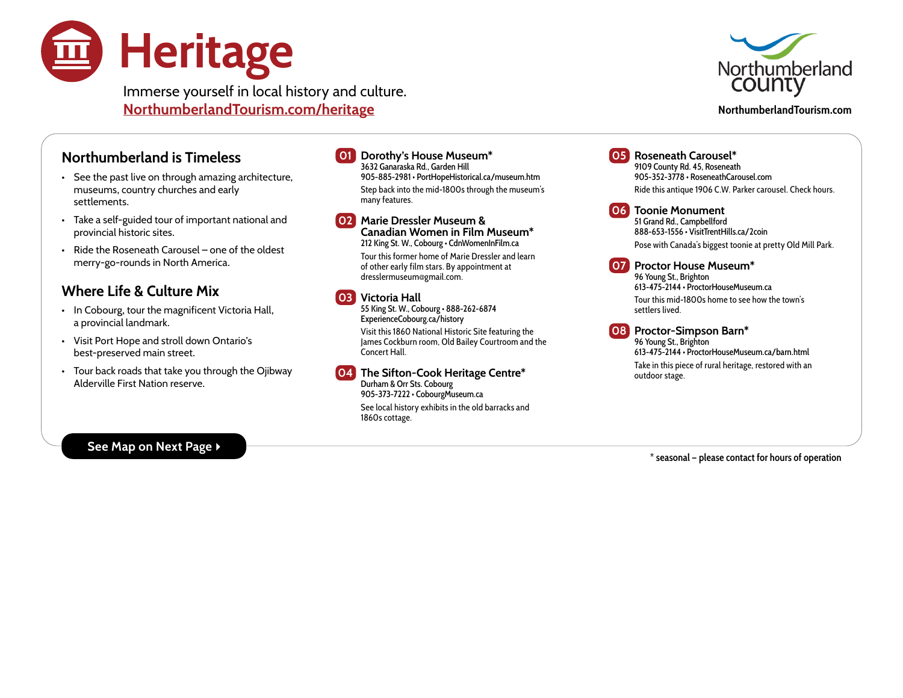

Immerse yourself in local history and culture. [NorthumberlandTourism.com/heritage](http://NorthumberlandTourism.com/heritage) **NorthumberlandTourism.com**



## Northumberland is Timeless

- See the past live on through amazing architecture, museums, country churches and early settlements.
- Take a self-guided tour of important national and provincial historic sites.
- Ride the Roseneath Carousel one of the oldest merry-go-rounds in North America.

# Where Life & Culture Mix

- In Cobourg, tour the magnificent Victoria Hall, a provincial landmark.
- Visit Port Hope and stroll down Ontario's best-preserved main street.
- Tour back roads that take you through the Ojibway Alderville First Nation reserve.

#### 01 Dorothy's House Museum\* 3632 Ganaraska Rd., Garden Hill 905-885-2981 • [PortHopeHistorical.ca/museum.htm](http://PortHopeHistorical.ca/museum.htm) Step back into the mid-1800s through the museum's many features.

02 Marie Dressler Museum & Canadian Women in Film Museum\* 212 King St. W., Cobourg • <CdnWomenInFilm.ca> Tour this former home of Marie Dressler and learn of other early film stars. By appointment at

03 Victoria Hall

dresslermuseum@gmail.com.

55 King St. W., Cobourg • 888-262-6874 <ExperienceCobourg.ca/history> Visit this 1860 National Historic Site featuring the James Cockburn room, Old Bailey Courtroom and the Concert Hall.

04 The Sifton-Cook Heritage Centre\* Durham & Orr Sts. Cobourg 905-373-7222 [• CobourgMuseum.ca](http://CobourgMuseum.ca) See local history exhibits in the old barracks and 1860s cottage.

### See Map on Next Page ▶

**\* seasonal — please contact for hours of operation**

06 Toonie Monument 51 Grand Rd., Campbellford 888-653-1556 •<VisitTrentHills.ca/2coin> Pose with Canada's biggest toonie at pretty Old Mill Park. 07 Proctor House Museum\* 96 Young St., Brighton 613-475-2144 • [ProctorHouseMuseum.ca](http://ProctorHouseMuseum.ca) Tour this mid-1800s home to see how the town's settlers lived. 08 Proctor-Simpson Barn\*

Ride this antique 1906 C.W. Parker carousel. Check hours.

05 Roseneath Carousel\* 9109 County Rd. 45, Roseneath 905-352-3778 • [RoseneathCarousel.com](http://RoseneathCarousel.com)

> 96 Young St., Brighton 613-475-2144 • [ProctorHouseMuseum.ca/barn.html](http://ProctorHouseMuseum.ca/barn.html) Take in this piece of rural heritage, restored with an outdoor stage.